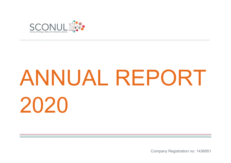

# ANNUAL REPORT 2020

 $\mathcal{L}_\mathcal{L} = \{ \mathcal{L}_\mathcal{L} = \{ \mathcal{L}_\mathcal{L} = \{ \mathcal{L}_\mathcal{L} = \{ \mathcal{L}_\mathcal{L} = \{ \mathcal{L}_\mathcal{L} = \{ \mathcal{L}_\mathcal{L} = \{ \mathcal{L}_\mathcal{L} = \{ \mathcal{L}_\mathcal{L} = \{ \mathcal{L}_\mathcal{L} = \{ \mathcal{L}_\mathcal{L} = \{ \mathcal{L}_\mathcal{L} = \{ \mathcal{L}_\mathcal{L} = \{ \mathcal{L}_\mathcal{L} = \{ \mathcal{L}_\mathcal{$ 

Company Registration no: 1436951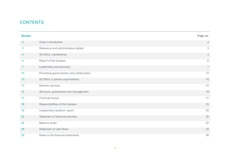# **CONTENTS**

| <b>Section</b>  |                                           | Page no.       |
|-----------------|-------------------------------------------|----------------|
| $\overline{2}$  | Chair's introduction                      | $\overline{2}$ |
| 3               | Reference and administrative details      | 3              |
| 4               | SCONUL membership                         | $\overline{4}$ |
| $6\phantom{1}6$ | Report of the trustees                    | $6\,$          |
| $\mathbf{7}$    | Leadership and advocacy                   | $\overline{7}$ |
| 10              | Promoting good practice and collaboration | 12             |
| 12              | SCONUL's partner organisations            | 14             |
| 13              | Member services                           | 15             |
| 15              | Structure, governance and management      | 19             |
| 17              | Financial review                          | 21             |
| 18              | Responsibilities of the trustees          | 23             |
| 19              | Independent auditors' report              | 25             |
| 22              | Statement of financial activities         | 30             |
| 24              | <b>Balance sheet</b>                      | 32             |
| 26              | Statement of cash flows                   | 34             |
| 28              | Notes to the financial statements         | 36             |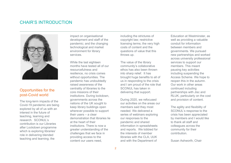# CHAIR'S INTRODUCTION



## Opportunities for the post-Covid world

The long-term impacts of the Covid-19 pandemic are being explored by all of us with an interest in the future of teaching, learning and research. SCONUL's contribution is our Libraries after Lockdown programme which is exploring libraries' role in delivering blended teaching and learning; the

impact on organisational development and staff of the pandemic; and the changing technological and market environment for library services.

While the last eighteen months have tested all of our resourcefulness and resilience, no crisis comes without opportunities. The pandemic has undoubtedly raised awareness of the centrality of libraries to the core missions of their institutions. During lockdown, governments across the nations of the UK sought to keep library buildings open wherever possible to support their users – a clear demonstration that libraries lie at the heart of their institutions. There is now a greater understanding of the challenges that we face in providing access to the content our users need,

including the strictures of copyright law; restrictive licensing terms; the very high costs of content and the questions of value that this throws up.

The value of the library community's collaborative ethos has also been thrown into sharp relief. It has brought huge benefits to all of us in responding to the crisis and I am proud of the role that SCONUL has taken in delivering that support.

During 2020, we refocused our activities on the areas our members said they most needed. We delivered a series of webinars exploring our responses to the pandemic and shared information in spreadsheets and reports. We lobbied for the interests of member libraries with the CLA, UUK and with the Department of

Education at Westminster, as well as providing a valuable conduit for information between members and governments. We pursued new partnerships and worked across university professional services to support our members. This meant pausing key activities including suspending the Access Scheme. We hope to reopen this in the autumn. Our work in other areas continued including partnerships with Jisc and RLUK, particularly on the cost and provision of content.

The agility and flexibility of SCONUL's response to the crisis has been appreciated by members and I would like to thank all staff and colleagues across the community for their contribution.

Susan Ashworth, Chair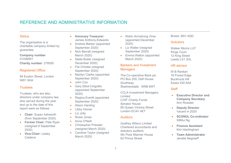# REFERENCE AND ADMINISTRATIVE INFORMATION

#### **Status**

The organisation is a charitable company limited by guarantee.

**Company number**: 01436951 **Charity number**: 278550

#### Registered Office

94 Euston Street, London NW1 9HA

#### **Trustees**

Trustees, who are also directors under company law, who served during the year and up to the date of this report were as follows:

- **Chair:** Susan Ashworth (from September 2020)
- **Former Chair:** Pete Ryan (resigned 9 September 2020)
- **Vice-Chair:** Lesley **Castens**
- **Honorary Treasurer:**  James Anthony-Edwards
- Andrew Barker (appointed September 2020)
- Nick Barratt (resigned March 2020)
- Stella Butler (resigned December 2020)
- Pat Christie (resigned September 2020)
- Marilyn Clarke (appointed September 2020)
- John Cox
- Gary Elliot-Cirigottis (appointed September 2020)
- Regina Everitt (appointed September 2020)
- Alison Harding
- Libby Homer
- Liz Jolly
- Rosie Jones
- Anna O'Neill
- Christopher Pressler (resigned March 2020)
- Caroline Taylor (resigned March 2020)
- Robin Armstrong Viner (appointed December 2020)
- Liz Waller (resigned September 2020)
- Emma Walton (appointed March 2020)

#### Bankers and Investment **Managers**

The Co-operative Bank plc PO Box 250, Delf House Southway Skelmersdale WN8 6WT

CCLA Investment Managers Limited COIF Charity Funds Senator House 85 Queen Victoria Street London EC4V 4ET

#### **Auditors**

Godfrey Wilson Limited Chartered accountants and statutory auditors 5th Floor Mariner House 62 Prince Street

#### Bristol, BS1 4QD

#### **Solicitors**

Walker Morris LLP Kings Court 12 King Street Leeds LS1 2HL

#### HR advisor

W B Ranken 16 Forest Edge Buckhurst Hill Essex IG9 5AA

#### **Staff**

- **Executive Director and Company Secretary** Ann Rossiter
- **Deputy Director** Vacant in 2020
- **SCONUL Co-ordinator** SitMui Ng
- **Finance Assistant** Kim Hardingham
- **Team Administrator** Jenelle Negraeff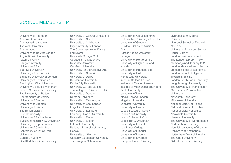# SCONUL MEMBERSHIP

University of Aberdeen Abertay University Aberystwyth University The Arts University, Bournemouth University of the Arts London Anglia Ruskin University Aston University Bangor University University of Bath Bath Spa University University of Bedfordshire Birkbeck, University of London University of Birmingham Birmingham City University University College Birmingham Bishop Grosseteste University The University of Bolton Bournemouth University University of Bradford University of Brighton University of Bristol The British Library Brunel University University of Buckingham Buckinghamshire New University University Campus Suffolk University of Cambridge Canterbury Christ Church **University** Cardiff University Cardiff Metropolitan University

University of Central Lancashire University of Chester University of Chichester City, University of London The Conservatoire for Dance and Drama University College Cork Courtauld Institute of Art Coventry University Cranfield University University for the Creative Arts University of Cumbria University of Derby De Montfort University Dublin City University University College Dublin Technological University Dublin University of Dundee Durham University University of East Anglia University of East London Edge Hill University University of Edinburgh Edinburgh Napier University University of Essex University of Exeter Falmouth University National University of Ireland, Galway University of Glasgow Glasgow Caledonian University The Glasgow School of Art

University of Gloucestershire Goldsmiths, University of London University of Greenwich Guildhall School of Music & Drama Harper Adams University **College** University of Hertfordshire University of Highlands and Islands University of Huddersfield University of Hull Heriot-Watt University Imperial College London Institute of Cancer Research Institute of Mechanical Engineers Keele University University of Kent King's College London Kingston University Lancaster University University of Leeds Leeds Beckett University Leeds Arts University Leeds College of Music Leeds Trinity University University of Leicester Leo Baeck College University of Limerick University of Lincoln University of Liverpool Liverpool Hope University

Liverpool John Moores University Liverpool School of Tropical Medicine University of London, Senate House Library London Business School The London Library – new member joined January 2020 London Metropolitan University London School of Economics London School of Hygiene & Tropical Medicine London South Bank University Loughborough University The University of Manchester Manchester Metropolitan **University** Maynooth University Middlesex University National Library of Ireland National Library of Scotland National Library of Wales Newcastle University Newman University The University of Northampton Northumbria University Norwich University of the Arts University of Nottingham Nottingham Trent University The Open University Oxford Brookes University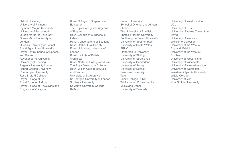Oxford University University of Plymouth Plymouth Marjon University University of Portsmouth Queen Margaret University Queen Mary, University of London Queen's University of Belfast Royal Agricultural University Royal Central School of Speech and Drama Ravensbourne University University of Reading Regent's University London Robert Gordon University Roehampton University Rose Bruford College Royal College of Art Royal College of Music Royal College of Physicians and Surgeons of Glasgow

Royal College of Surgeons in **Edinburgh** The Royal College of Surgeons of England Royal College of Surgeons in Ireland Royal Conservatoire of Scotland Royal Horticultural Society Royal Holloway, University of London Royal Institute of British **Architects** Royal Northern College of Music The Royal Veterinary College Royal Welsh College of Music and Drama University of St Andrews St George's University of London St Mary's University St Mary's University College **Belfast** 

Salford University School of Oriental and African **Studies** The University of Sheffield Sheffield Hallam University Southampton Solent University University of Southampton University of South Wales SRUC Staffordshire University University of Stirling University of Strathclyde University of Sunderland University of Surrey University of Sussex Swansea University Tate Trinity College Dublin Trinity Laban Conservatoire of Music and Dance University of Teesside

University of West London UCL University of Ulster University of Wales Trinity Saint David University of Warwick Wellcome Collection University of the West of England, Bristol University of the West of **Scotland** University of Westminster University of Winchester University of Wolverhampton University of Worcester Wrexham Glyndŵr University Writtle College University of York York St John University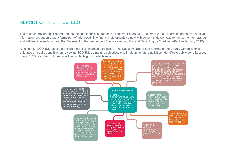# REPORT OF THE TRUSTEES

The trustees present their report and the audited financial statements for the year ended 31 December 2020. Reference and administrative information set out on page 3 forms part of this report. The financial statements comply with current statutory requirements, the memorandum and articles of association and the Statement of Recommended Practice - Accounting and Reporting by Charities (effective January 2019).

 $\mathcal{L}_\mathcal{L} = \{ \mathcal{L}_\mathcal{L} = \{ \mathcal{L}_\mathcal{L} = \{ \mathcal{L}_\mathcal{L} = \{ \mathcal{L}_\mathcal{L} = \{ \mathcal{L}_\mathcal{L} = \{ \mathcal{L}_\mathcal{L} = \{ \mathcal{L}_\mathcal{L} = \{ \mathcal{L}_\mathcal{L} = \{ \mathcal{L}_\mathcal{L} = \{ \mathcal{L}_\mathcal{L} = \{ \mathcal{L}_\mathcal{L} = \{ \mathcal{L}_\mathcal{L} = \{ \mathcal{L}_\mathcal{L} = \{ \mathcal{L}_\mathcal{$ 

As a charity, SCONUL has a set of core aims (our "charitable objects"). The Executive Board has referred to the Charity Commission's guidance on public benefit when reviewing SCONUL's aims and objectives and in planning future activities. Identifiable public benefits arose during 2020 from the work described below, highlights of which were:

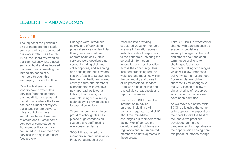## Covid-19

The impact of the pandemic on our members, their staff, services and users dominated our work in 2020. As Covid-19 hit, the Board reviewed all our planned activities, placed some on hold and we focused our resources on meeting the immediate needs of our members through this immensely challenging time.

Over the last year library leaders have pivoted their services from the standard blended digital and physical model to one where the focus has been almost entirely on digital and remote delivery. Library buildings have sometimes been closed and at others open just for some services or some students. But member libraries have continued to deliver their core services in an agile and userfocused way.

Changes were introduced quickly and effectively to physical services while digital library services continued to operate seamlessly. New services were developed at speed, including click and collect options, and scanning and sending materials where this was feasible. Support and teaching by the library moved entirely online and members experimented with creative new approaches towards fulfilling their remits, for example using virtual reality technology to provide access to special collections.

There has been much to be proud of although this has placed huge demands on systems and staff, testing everyone's resilience.

SCONUL supported our members in three main ways. First, we put much of our

resource into providing structured ways for members to share information across institutions about responses to the pandemic, fostering the spread of information, innovation and good practice across the community. This included organising regular webinars and meetings within the community and those in allied professional services. Data was also captured and shared via spreadsheets and reports to members.

Second, SCONUL used that information to advise partners, including civil servants, regulators and UUK about the immediate challenges our members were facing. We influenced the development of guidance and regulation and in turn briefed members on developments in these areas.

Third, SCONUL advocated for change with partners such as academic publishers, subscription agents, the CLA and others about the shortterm needs and long-term challenges facing our members, calling for changes which will allow libraries to deliver what their users need. For example, we lobbied successfully for changes to the CLA licence to allow for digital sharing of resources which would not otherwise have been permitted.

As we move out of the crisis, SCONUL is using the same agile approach to support our members to take the best of the innovative practices developed during the pandemic and to capitalise on the opportunities arising from this period of intense change.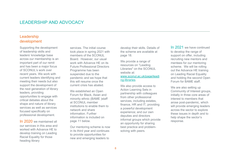# Leadership development

Supporting the development of leadership skills and leaders' knowledge base across our membership is an important part of our remit and has been a major focus of SCONUL's work over recent years. We work with current leaders identifying and meeting their needs but also support the development of the next generation of library leaders, providing opportunities to engage with critical debates about the shape and nature of library services as well as services focused specifically on professional development.

In 2020 we maintained all our services in this area and worked with Advance HE to develop training on Leading Racial Equality for those heading library

services. The initial course took place in spring 2021 with members of the SCONUL Board. However, our usual. work with Advance HE on its Future Professional Directors Programme has been suspended due to the pandemic and we hope that this will resume once the current crisis has abated.

We established an Open Forum for Black, Asian and minority ethnic (BAME )staff at SCONUL member institutions to enable them to network and share information. Further information is included on page 11 below.

Our mentoring scheme is now in its third year and continues to provide opportunities for new and emerging leaders to

develop their skills. Details of the scheme are available at page 18.

We provide a range of resources on "Leading Libraries" on the SCONUL website at: www.sconul.ac.uk/page/leadi ng-libraries.

We also provide access to Action Learning Sets in partnership with colleagues from other professional services, including estates, finance, HR and IT, providing a powerful development experience; and our own deputies and directors informal groups which provide an opportunity for sharing best practice and problemsolving with peers.

In 2021 we have continued to develop the range of support on offer, including recruiting new mentors and mentees for our mentoring scheme. We will be rolling out the Advance HE training on Leading Racial Equality and holding the second Open Forum for BAME staff.

We are also setting up Community of Interest groups, initially in three core areas of interest to members that arose post-pandemic, which will provide emerging leaders across the sector to explore these issues in depth and to help shape the sector's response.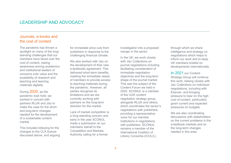## Journals, e-books and the cost of content

The pandemic has thrown a spotlight on many of the longstanding challenges that our members have faced over the cost of content, raising awareness among academics and institutional leaders of concerns over value and the availability of research and teaching and learning materials digitally.

During 2020, as the pandemic took hold, we worked in concert with partners RLUK and Jisc to make the case for the shortand long-term changes needed for the development of a sustainable content market.

This included lobbying for the changes to the CLA licence discussed above, and arguing for immediate price cuts from publishers in response to the challenging financial climate.

We also worked with Jisc on the development of their new e-textbooks agreement. This delivered short-term benefits, meeting the immediate needs of members to provide access to teaching materials during the pandemic. However, all parties recognise its limitations and we are currently working with partners on the long-term direction for the market.

Lack of market competition is a long-standing concern and early in the year SCONUL made a submission on our members' behalf to the Competition and Markets Authority calling for a formal

investigation into a proposed merger in the sector.

In the UK, we work closely with Jisc Collections on journal negotiations including facilitating consideration of immediate negotiation objectives and the long-term shape of the journal market. This was the subject of the Content Forum we held in 2020. SCONUL is a member of the UUK content negotiation strategy group, alongside RLUK and others, which coordinates the sector's negotiations with publishers, providing a representative voice for our member institutions in negotiations with publishers. SCONUL remains a member of the International Coalition of Library Consortia (ICOLC),

through which we share intelligence and strategy on negotiations which helps to inform our work and to keep UK members briefed on developments internationally.

In 2021 our Content Strategy Group will continue this work, liaising closely with Jisc Collections on individual negotiations, including with Elsevier, and bringing pressure to bear on the high cost of content, particularly given current and expected pressures on budgets.

We are also coordinating discussions with stakeholders on the current problems in the e-textbook markets and on the long-term changes needed in this area.

*\_\_\_\_\_\_\_\_\_\_\_\_\_\_\_\_\_\_\_\_\_\_\_\_\_\_\_\_\_\_\_\_\_\_\_\_\_\_\_\_\_\_\_\_\_\_\_\_\_\_\_\_\_\_\_\_\_\_\_\_\_\_\_\_\_\_\_\_\_\_\_\_\_\_\_\_\_\_\_\_\_\_\_\_\_\_\_\_\_*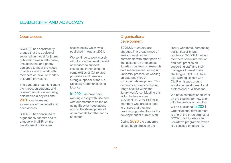#### Open access

SCONUL has consistently argued that the traditional subscription model for journal publication was unaffordable, unsustainable and poorly equipped to meet the needs of authors and to work with members on new OA models of journal provisions.

The pandemic has highlighted the impact on students and researchers of content being held behind a paywall and 2020 saw increased awareness of the benefits of open access.

SCONUL has continued to argue for its benefits and to engage with UKRI on the development of its open

access policy which was published in August 2021.

We continue to work closely with Jisc on the development of services to support institutions in handling the complexities of OA related processes and remain a strong supporter of the UK-Scholarly Communications Licence.

In 2021 we have been working closely with Jisc and with our members on the ongoing Elsevier negotiations and on the development of open models for other forms of content.

# **Organisational** development

*\_\_\_\_\_\_\_\_\_\_\_\_\_\_\_\_\_\_\_\_\_\_\_\_\_\_\_\_\_\_\_\_\_\_\_\_\_\_\_\_\_\_\_\_\_\_\_\_\_\_\_\_\_\_\_\_\_\_\_\_\_\_\_\_\_\_\_\_\_\_\_\_\_\_\_\_\_\_\_\_\_\_\_\_\_\_\_\_\_*

SCONUL members are engaged in a broad range of areas of work, often in partnership with other parts of the institution. For example, libraries may lead on research data management; setting up university presses; or working on data analytics or curriculum development. This demands an ever-increasing range of skills within the library workforce. Meeting this skills challenge is an important issue for SCONUL members who are also keen to ensure that they are providing opportunities for the development of current staff.

During 2020 the pandemic placed huge stress on the

library workforce, demanding agility, flexibility and resilience. SCONUL helped members share information and best practice on supporting staff and their managers to meet these challenges. SCONUL has also worked closely with CILIP on issues around workforce development and professional qualifications.

We have commissioned work on the pipeline for new talent into the profession and this will be published in 2021. Organisational development is one of the three strands of SCONUL's Libraries after Lockdown programme which is discussed on page 12.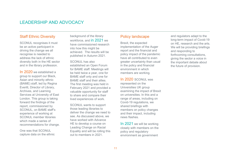## Staff Ethnic Diversity

SCONUL recognises it must be an active participant in driving the change we all recognise is needed to address the lack of ethnic diversity both in the HE sector and in the library profession.

In 2020 we established a group to support our Black, Asian and minority ethnic (BAME) staff, led by Regina Everitt, Director of Library, Archives, and Learning Services at University of East London. This group is taking forward the findings of the report, commissioned by SCONUL, on BAME staff's experience of working at SCONUL member libraries which made a series of recommendations for change.

One was that SCONUL capture data on the ethnic background of the library workforce, and in 2021 we have commissioned research into how this might be achieved. The results will be published in Autumn 2021.

SCONUL has also established an Open Forum for BAME staff. Meetings will be held twice a year, one for BAME staff only and one for BAME staff and their allies. The first meeting was held in February 2021 and provided a valuable opportunity for staff to share and compare their lived experiences of work.

SCONUL wants to support those leading libraries to deliver the change we need to see. As discussed above, we have worked with Advance HE to develop a course on Leading Change on Racial Equality and will be rolling this out to members in 2021.

## Policy landscape

*\_\_\_\_\_\_\_\_\_\_\_\_\_\_\_\_\_\_\_\_\_\_\_\_\_\_\_\_\_\_\_\_\_\_\_\_\_\_\_\_\_\_\_\_\_\_\_\_\_\_\_\_\_\_\_\_\_\_\_\_\_\_\_\_\_\_\_\_\_\_\_\_\_\_\_\_\_\_\_\_\_\_\_\_\_\_\_\_\_*

Brexit, the expected implementation of the Auger report and the financial and policy impact of the pandemic have all contributed to even greater uncertainty than usual in the policy and financial environment in which members are working.

In 2020 SCONUL was represented on the Universities UK group examining the impact of Brexit on universities. In this and a range of areas, including on Covid-19 regulations, we shared briefings with members on policy changes and their impact, including news flashes.

In 2021 we will be working closely with members on the policy and regulatory environment as government

and regulators adapt to the long-term impact of Covid-19 on HE, research and the arts. We will be providing briefings and responding to forthcoming consultations, giving the sector a voice in the important debate about the future of provision.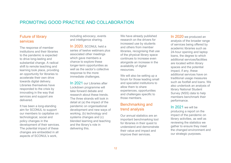# PROMOTING GOOD PRACTICE AND COLLABORATION

## Future of library services

The response of member institutions and their libraries to the pandemic is expected to drive long-lasting and substantial change. A radical shift to remote teaching and learning took place, providing an opportunity for libraries to accelerate their own drive towards digital delivery. Libraries themselves have responded to the crisis by innovating in the way that services and support are delivered.

It has been a long-standing aim for SCONUL to support our members to capitalise on technological, social and policy changes in the development of their services. The potential impact of these changes are embedded in all aspects of SCONUL's work,

including advocacy, events and intelligence sharing.

In 2020, SCONUL held a series of twelve webinars plus associated other meetings which gave members a chance to explore these longer-term opportunities as well as the sector's collective response to the more immediate challenges.

In 2021 our Libraries after Lockdown programme will take forward debate and research about these trends. The three strands will look in detail at (a) the impact of the pandemic on organisational development and new ways of working, (b) technology and systems changes and (c) blended learning and teaching and the library's role in delivering this.

We have already published research on the drivers for increased use by students and others from member libraries, recognising that use of the physical library space continues to increase even alongside an increase in the availability of digital resources.

We will also be setting up a forum for those leading small and specialist institutions to allow them to share experiences, opportunities and challenges specific to those members.

## Benchmarking and trend analysis

Our annual statistics are an important benchmarking tool for libraries in their quest to understand and demonstrate their value and impact and improve their services.

In 2020 we produced an analysis of the broader range of services being offered by academic libraries such as 24-hour opening and laptop loans, the degree to which additional services/facilities are located within library spaces and the potential impact, if any, these additional services have on traditional usage measures such as footfall and loans. We also undertook an analysis of library National Student Survey (NSS) data to help members benchmark their performance.

In 2021 we will be producing a report on the impact of the pandemic on library activities, as well as reviewing the statistics we gather to ensure they meet the changed environment and our strategic purposes.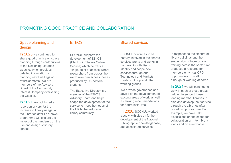# PROMOTING GOOD PRACTICE AND COLLABORATION

# Space planning and design

#### **FThOS**

In 2020 we continued to share good practice on space planning through contributions to the Designing Libraries website, which provides detailed information on planning new buildings or refurbishments. We are members of the Advisory Board of the Community Interest Company overseeing the website.

In 2021, we published a report on drivers for the increase in library usage, and the Libraries after Lockdown programme will explore the impact of the pandemic on the use and design of library spaces.

SCONUL supports the development of EThOS (Electronic Theses Online Service) which delivers a 'single point of access' where researchers from across the world over can access theses produced by UK doctoral students.

The Executive Director is a member of the EThOS Advisory Board and helps shape the development of the service to meet the needs of the UK higher education library community.

## Shared services

 $\mathcal{L}_\mathcal{L} = \{ \mathcal{L}_\mathcal{L} = \{ \mathcal{L}_\mathcal{L} = \{ \mathcal{L}_\mathcal{L} = \{ \mathcal{L}_\mathcal{L} = \{ \mathcal{L}_\mathcal{L} = \{ \mathcal{L}_\mathcal{L} = \{ \mathcal{L}_\mathcal{L} = \{ \mathcal{L}_\mathcal{L} = \{ \mathcal{L}_\mathcal{L} = \{ \mathcal{L}_\mathcal{L} = \{ \mathcal{L}_\mathcal{L} = \{ \mathcal{L}_\mathcal{L} = \{ \mathcal{L}_\mathcal{L} = \{ \mathcal{L}_\mathcal{$ 

SCONUL continues to be heavily involved in the shared services arena and works in partnership with Jisc to identify and scope new services through our Technology and Markets Strategy Group and other working groups.

We provide governance and advice on the development of existing areas of work as well as making recommendations for future initiatives.

In 2020, SCONUL worked closely with Jisc on further development of the National Bibliographic Knowledgebase, and associated services.

In response to the closure of library buildings and the suspension of face-to-face training across the sector, we produced a resource for members on virtual CPD opportunities for staff on furlough or working at home

In 2021 we will continue to work in each of these areas helping to support those leading member libraries to plan and develop their service through the Libraries after Lockdown programme. For example, we have held discussions on the scope for collaboration on inter-library loans and on e-textbooks.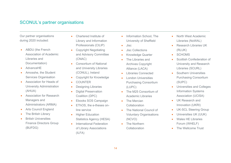# SCONUL's partner organisations

Our partner organisations during 2020 included:

- ABDU (the French Association of Academic Libraries and Documentation)
- AdvanceHE
- Amosshe, the Student Services Organisation
- Association for Heads of University Administration (AHUA)
- Association for Research Managers and Administrators (ARMA)
- Arts Council England
- The British Library
- British Universities Finance Directors Group (BUFDG)
- Chartered Institute of Library and Information Professionals (CILIP)
- Copyright Negotiating and Advisory Committee (CNAC)
- Consortium of National and University Libraries (CONUL), Ireland
- Copyright for Knowledge
- **COUNTER**
- Designing Libraries
- Digital Preservation Coalition (DPC)
- Ebooks SOS Campaign
- EThOS, the e-theses online service
- Higher Education Statistics Agency (HESA)
- **•** International Federation of Library Associations (ILFA)
- Information School, The University of Sheffield
- $\bullet$  Jisc

 $\mathcal{L}_\text{max}$  , and the contribution of the contribution of the contribution of the contribution of the contribution of the contribution of the contribution of the contribution of the contribution of the contribution of t

- **•** Jisc Collections
- Knowledge Quarter
- The Libraries and Archives Copyright Alliance (LACA)
- **•** Libraries Connected
- **•** London Universities Purchasing Consortium (LUPC)
- The M25 Consortium of Academic Libraries
- The Mercian Collaboration
- The National Council of Voluntary Organisations (NCVO)
- **•** The Northern **Collaboration**
- North West Academic Libraries (NoWAL)
- Research Libraries UK (RLUK)
- SCHOMS
- Scottish Confederation of University and Research Libraries (SCURL)
- Southern Universities Purchasing Consortium (SUPC)
- Universities and Colleges Information Systems Association (UCISA)
- UK Research and Innovation (UKRI)
- UK-SCL Steering Group
- Universities UK (UUK)
- Wales HE Libraries Forum (WHELF)
- The Wellcome Trust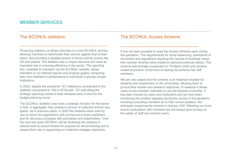# MEMBER SERVICES

# The SCONUL statistics

Producing statistics on library activities is a core SCONUL service, allowing members to benchmark their service against that of their peers, and providing a detailed picture of library activity across the UK and Ireland. The statistics are a unique resource and have an important role in ensuring efficiency in the sector. The reporting tool, available to members via the SCONUL website, allows members to run tailored reports and produce graphs comparing their own institution's performance to individual or groups of peer institutions.

\_\_\_\_\_\_\_\_\_\_\_\_\_\_\_\_\_\_\_\_\_\_\_\_\_\_\_\_\_\_\_\_\_\_\_\_\_\_\_\_\_

In 2020, despite the pandemic 157 institutions contributed to the statistics (compared to 158 in 2019) with 122 submitting the strategic planning subset of data released early in time for the budget planning round.

The SCONUL statistics also have a strategic function for the sector in that, in aggregate, they present a picture of collective activity and spend. As in previous years, in 2020 the statistics were used by Jisc to inform its negotiations with journal and e-book publishers and for advocacy purposes with journalists and stakeholders. Over the next two years SCONUL will be reviewing the statistics it collects both to ensure fitness for purpose for benchmarking and to assess their role in supporting our collective strategic objectives.

# The SCONUL Access Scheme

It has not been possible to keep the Access Scheme open during the pandemic. The requirements for social distancing, restrictions of movement and regulations requiring the closure of buildings meant that member libraries were unable to welcome external visitors. The scheme was formally suspended on 16 March 2020 and remains closed at present. At the time of closing the scheme had 168 members.

\_\_\_\_\_\_\_\_\_\_\_\_\_\_\_\_\_\_\_\_\_\_\_\_\_\_\_\_\_\_\_\_

We are very aware that the scheme is an important enabler for students and researchers at UK universities, allowing them to pursue their studies and research objectives. In essence it allows users of one member institution to use the libraries of another. It has been missed by users and institutions and we have been monitoring the position regularly during the course of the pandemic including consulting members as to their current position. We anticipate reopening the scheme in Autumn 2021 following our most recent consultation with members but will always give primacy to the safety of staff and scheme users.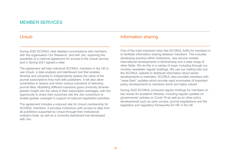# MEMBER SERVICES

## **Unsub**

During 2020 SCONUL held detailed conversations with members, with the organisation Our Research, and with Jisc, exploring the possibility of a national agreement for access to the Unsub service, and in Spring 2021 agreed a deal.

\_\_\_\_\_\_\_\_\_\_\_\_\_\_\_\_\_\_\_\_\_\_\_\_\_\_\_\_\_\_\_\_\_\_\_\_\_

The agreement will help individual SCONUL members in the UK to use Unsub, a data analysis and dashboard tool that enables libraries and consortia to independently assess the value of the journal subscriptions they hold with publishers. It will also allow universities to assess and share various scenarios of selecting journal titles. Modelling different scenarios gives university libraries greater insight into the value of their subscription packages, with the opportunity to share their outcomes with the Jisc consortium to enable greater oversight in support of national negotiation activities.

The agreement includes a reduced rate for Unsub membership for SCONUL members. It provides institutions with access to data from all publishers supported by Unsub through their institutional analytics tools, as well as a consortia dashboard tool developed with Jisc.

# Information sharing

One of the most important roles that SCONUL fulfils for members is to facilitate information sharing between members. This includes developing practice within institutions, new service models, international developments in librarianship and a wide range of other fields. We do this in a variety of ways, including through our monthly newsletter regular briefings. We use our mailing lists and the SCONUL website to distribute information about sector developments to members. SCONUL also provides members with "news flash" updates which provide rapid summaries of important policy developments to members which are highly valued.

\_\_\_\_\_\_\_\_\_\_\_\_\_\_\_\_\_\_\_\_\_\_\_\_\_\_\_\_\_\_\_\_\_\_\_\_\_\_\_\_\_\_

During 2020 SCONUL produced regular briefings for members on key issues for academic libraries, including regular updates on governments' policies on Covid-19 as well as on other policy developments such as open access, journal negotiations and the legislative and regulatory frameworks for HE in the UK.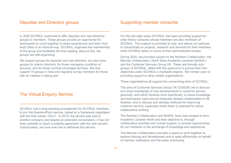## Deputies and Directors groups

In 2020 SCONUL continued to offer deputies and new directors' groups to members. These groups provide an opportunity for participants to come together to share experiences and learn from each other in an informal way. SCONUL organises the membership of the group and facilitates the first meeting. Beyond this, the groups are self-organising.

\_\_\_\_\_\_\_\_\_\_\_\_\_\_\_\_\_\_\_\_\_\_\_\_\_\_\_\_\_\_\_\_\_\_\_\_\_\_\_\_\_\_

We support groups for deputies and new directors, but also have groups for interim directors; for those managing a portfolio of services, and for those running converged services. We now support 19 groups in total and regularly survey members for those with an interest in taking part.

## **The Virtual Enquiry Service**

SCONUL had a long-standing arrangement for SCONUL members to join the QuestionPoint service, based on a framework negotiated with the then owner, OCLC. In 2019, the service was sold to another company and despite an extended conversation, it has not been possible to reach a suitable agreement with the new owners. Unfortunately, we have now had to withdraw this service.

 $\overline{\phantom{a}}$  , where  $\overline{\phantom{a}}$  , where  $\overline{\phantom{a}}$  ,  $\overline{\phantom{a}}$  ,  $\overline{\phantom{a}}$  ,  $\overline{\phantom{a}}$  ,  $\overline{\phantom{a}}$  ,  $\overline{\phantom{a}}$  ,  $\overline{\phantom{a}}$  ,  $\overline{\phantom{a}}$  ,  $\overline{\phantom{a}}$  ,  $\overline{\phantom{a}}$  ,  $\overline{\phantom{a}}$  ,  $\overline{\phantom{a}}$  ,  $\overline{\phantom{a}}$  ,

# Supporting member consortia

For the last eight years SCONUL has been providing support for other library consortia whose members are also members of SCONUL. This support is provided at cost, and allows our partners to concentrate on projects, research and services for their members while SCONUL takes on some of their administrative burden.

\_\_\_\_\_\_\_\_\_\_\_\_\_\_\_\_\_\_\_\_\_\_\_\_\_\_\_\_\_\_\_\_\_\_\_\_\_\_\_\_\_\_

During 2020, we provided support to the Northern Collaboration, the Mercian Collaboration, North West Academic Libraries (NoWAL) and the Customer Services Group UK. These are formally subgroups of SCONUL, albeit with the autonomy to pursue their own objectives under SCONUL's charitable objects. We remain open to providing support to other similar organisations.

These organisations all support the overarching aims of SCONUL:

The aims of Customer Services Group UK (CSGUK) are to discuss and share knowledge of new developments in customer service generally, and within libraries more specifically; to share knowledge and techniques used around measures already implemented in HE libraries; and to discuss and develop methods for improving customer service, especially where there is potential for active collaborative working.

The Northern Collaboration and NoWAL have now merged to form Academic Libraries North and their objective is, through collaborative activities and mutual support, to provide opportunities for our members in the exchange of knowledge and experience.

The Mercian Collaboration provides a space to work together to explore training and development and to seek efficiencies on behalf of member institutions and the wider community.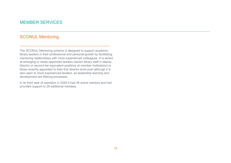# MEMBER SERVICES

# SCONUL Mentoring

The SCONUL Mentoring scheme is designed to support academic library leaders in their professional and personal growth by facilitating mentoring relationships with more experienced colleagues. It is aimed at emerging or newly-appointed leaders (senior library staff in deputy director or second tier equivalent positions at member institutions) or those recently appointed to their first director level post although it is also open to more experienced leaders, as leadership learning and development are lifelong processes.

\_\_\_\_\_\_\_\_\_\_\_\_\_\_\_\_\_\_\_\_\_\_\_\_\_\_\_\_\_\_\_\_\_\_\_\_\_\_\_\_\_\_

In its third year of operation in 2020 it had 26 active mentors and had provided support to 29 additional mentees.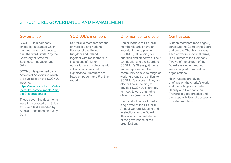# STRUCTURE, GOVERNANCE AND MANAGEMENT

#### Governance

SCONUL is a company limited by guarantee which has been given a licence to omit the word 'limited' by the Secretary of State for Business, Innovation and Skills.

SCONUL is governed by its Articles of Association which are available on the SCONUL website:

https://www.sconul.ac.uk/sites /default/files/documents/Articl esofAssociation.pdf

These governing documents were incorporated on 13 July 1979 and last amended by Special Resolution on 3 July 2015.

## SCONUL's members

SCONUL's members are the universities and national libraries of the United Kingdom and Ireland, together with most other UK institutions of higher education and institutions with collections of national significance. Members are listed on page 4 and 5 of this report.

## One member one vote

Senior leaders of SCONUL member libraries have an important role to play in SCONUL, influencing our priorities and objectives. Their contributions to the Board, to SCONUL's Strategy Groups and in representing the community on a wide range of working groups are critical to SCONUL's success. They are also critical in helping to develop SCONUL's strategy to meet its core charitable objectives (see page 6).

Each institution is allowed a single vote at the SCONUL Annual General Meeting and in elections for the Board. This is an important element of the governance of the organisation.

## Our trustees

Sixteen members (see page 3) constitute the Company's Board and are the Charity's trustees, each of whom, in formal terms, is a Director of the Company. Twelve of the sixteen of the Board are elected and four were co-opted from partner organisations.

New trustees are given briefings on the charity's work and their obligations under Charity and Company law. Training in good practice and the responsibilities of trustees is provided regularly.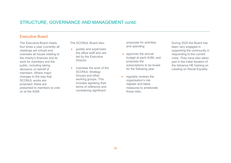# STRUCTURE, GOVERNANCE AND MANAGEMENT contd.

## Executive Board

The Executive Board meets four times a year (currently all meetings are virtual) and oversees all issues relating to the charity's finances and its work for members and the public, including taking decisions on behalf of members. Where major changes to the way that SCONUL works are proposed, these are presented to members to vote on at the AGM.

The SCONUL Board also:

- quides and supervises the office staff who are led by the Executive **Director**
- oversees the work of the SCONUL Strategy Groups and other working groups. This includes agreeing their terms of reference and considering significant

proposals for activities and spending

- approves the annual budget at each AGM, and proposes the subscriptions to be levied for the following year
- regularly reviews the organisation's risk register and takes measures to ameliorate those risks.

During 2020 the Board has been very engaged in supporting the community in responding to the current crisis. They have also taken part in the initial iteration of the Advance HE training on Leading on Racial Equality.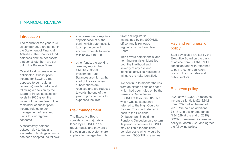# FINANCIAL REVIEW

### Introduction

The results for the year to 31 December 2020 are set out in the Statement of Financial Activities. The Charity's fund balances and the net assets that constitute them are set out in the Balance Sheet.

Overall total income was as anticipated. Subscription income for SCONUL (as opposed to our regional consortia) was broadly level following a decision by the Board to freeze subscription levels in 2020 given the impact of the pandemic. The remainder of subscription income relates to our management of reserved funds for our regional consortia.

A satisfactory balance between day-to-day and longer-term holdings of funds has been adopted, as follows:

- short-term funds kept in a deposit account at the bank, which automatically tops up the current account when its balance falls below £10,000
	- other funds, the working reserve, kept in the Charities Official Investment Fund. Balances are high at the start of the year when subscriptions are received and are reduced towards the end of the year to provide funds for expenses incurred.

#### Risk management

The Executive Board considers the major risks faced by SCONUL on a regular basis and they are of the opinion that systems are in place to manage them. A

"live" risk register is maintained by the SCONUL office, and is reviewed regularly by the Executive Board.

This covers both financial and non-financial risks; identifies both the likelihood and severity of any risk and identifies activities required to mitigate the risks identified.

We continue to monitor the risk from an historic pensions case which had been ruled on by the Pensions Ombudsman in SCONUL's favour in 2018 but which was subsequently referred to the High Court for Review. The court referred it back to the Pensions Ombudsman. Should the Pensions Ombudsman overturn its previous decision, SCONUL may be liable for additional pension costs which would be met from SCONUL's reserves

# Pay and remuneration policy

Staff pay scales are set by the Executive Board on the basis of advice from SCONUL's HR consultant and with reference to pay rates for equivalent posts in the charitable and public sectors.

#### Reserves policy

2020 saw SCONUL's reserves increase slightly to £243,942 from £232,194 at the end of 2019. We hold an additional £81,813 in designated funds (£84,529 at the end of 2019). SCONUL reviewed its reserve policy in March 2020 and agreed the following policy: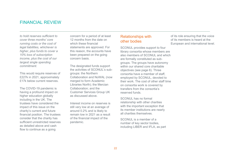# FINANCIAL REVIEW

*to hold reserves sufficient to cover three months' core running costs or the cost of legal liabilities, whichever is higher, plus funds to cover a 10% loss of subscription income, plus the cost of our largest single spending commitment*.

This would require reserves of £227k in 2021, approximately £17k below current reserves.

The COVID-19 pandemic is having a profound impact on higher education globally including in the UK. The trustees have considered the impact of this issue on the charity's current and future financial position. The trustees consider that the charity has sufficient unrestricted reserves as detailed above and cash flow to continue as a going

concern for a period of at least 12 months from the date on which these financial statements are approved. For this reason, the accounts have been prepared on the going concern basis.

The designated funds support the activities of SCONUL's subgroups: the Northern Collaboration and NoWAL (now merged to form Academic Libraries North); the Mercian Collaboration; and the Customer Services Group UK as discussed above.

Interest income on reserves is still very low at an average of around 0.2% and is likely to remain low in 2021 as a result of the financial impact of the pandemic.

# Relationships with other bodies

 $\mathcal{L}_\mathcal{L} = \{ \mathcal{L}_\mathcal{L} = \{ \mathcal{L}_\mathcal{L} = \{ \mathcal{L}_\mathcal{L} = \{ \mathcal{L}_\mathcal{L} = \{ \mathcal{L}_\mathcal{L} = \{ \mathcal{L}_\mathcal{L} = \{ \mathcal{L}_\mathcal{L} = \{ \mathcal{L}_\mathcal{L} = \{ \mathcal{L}_\mathcal{L} = \{ \mathcal{L}_\mathcal{L} = \{ \mathcal{L}_\mathcal{L} = \{ \mathcal{L}_\mathcal{L} = \{ \mathcal{L}_\mathcal{L} = \{ \mathcal{L}_\mathcal{$ 

SCONUL provides support to four library consortia whose members are also members of SCONUL and which are formally constituted as subgroups. The groups have autonomy within our shared core charitable objectives (see page 6). Three consortia have a member of staff, employed by SCONUL, devoted to their work. The cost of other staff time on consortia work is covered by transfers from the consortia's reserved funds.

SCONUL has no formal relationship with other charities with the important exception that its member institutions are nearly all charities themselves.

SCONUL is a member of a number of key sector bodies, including LIBER and IFLA, as part of its role ensuring that the voice of its members is heard at the European and international level.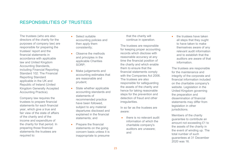# RESPONSIBILITIES OF TRUSTEES

The trustees (who are also directors of the charity for the purposes of company law) are responsible for preparing the trustees' report and the financial statements in accordance with applicable law and United Kingdom Accounting Standards, including Financial Reporting Standard 102: The Financial Reporting Standard applicable in the UK and Republic of Ireland (United Kingdom Generally Accepted Accounting Practice).

Company law requires the trustees to prepare financial statements for each financial year, which give a true and fair view of the state of affairs of the charity and of the income and expenditure of the charity for that period. In preparing those financial statements the trustees are required to:

- Select suitable accounting policies and then apply them consistently;
- Observe the methods and principles in the applicable Charities SORP;
- Make judgements and accounting estimates that are reasonable and prudent;
- State whether applicable accounting standards and statements of recommended practice have been followed, subject to any material departures disclosed and explained in the financial statements; and
- Prepare the financial statements on the going concern basis unless it is inappropriate to presume

that the charity will continue in operation.

The trustees are responsible for keeping proper accounting records which disclose with reasonable accuracy at any time the financial position of the charity and which enable them to ensure that the financial statements comply with the Companies Act 2006. The trustees are also responsible for safeguarding the assets of the charity and hence for taking reasonable steps for the prevention and detection of fraud and other irregularities.

In so far as the trustees are aware:

 there is no relevant audit information of which the charitable company's auditors are unaware; and

 the trustees have taken all steps that they ought to have taken to make themselves aware of any relevant audit information and to establish that the auditors are aware of that information.

The trustees are responsible for the maintenance and integrity of the corporate and financial information included on the charitable company's website. Legislation in the United Kingdom governing the preparation and dissemination of financial statements may differ from legislation in other jurisdictions.

Members of the charity guarantee to contribute an amount not exceeding £1 to the assets of the charity in the event of winding up. The total number of such guarantees at 31 December 2020 was 16.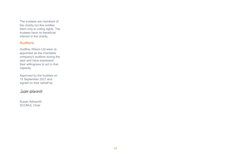The trustees are members of the charity but this entitles them only to voting rights. The trustees have no beneficial interest in the charity.

## **Auditors**

Godfrey Wilson Ltd were reappointed as the charitable company's auditors during the year and have expressed their willingness to act in that capacity.

Approved by the trustees on 15 September 2021 and signed on their behalf by

# [Susan Ashworth](https://eu1.documents.adobe.com/verifier?tx=CBJCHBCAABAAVYw4-nFc3kd7yhnZD4tWhrGjd0OGu6ja)

Susan Ashworth **SCONUL Chair**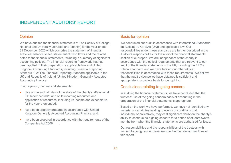# INDEPENDENT AUDITORS' REPORT

## **Opinion**

We have audited the financial statements of The Society of College, National and University Libraries (the 'charity') for the year ended 31 December 2020 which comprise the statement of financial activities, balance sheet, statement of cash flows and the related notes to the financial statements, including a summary of significant accounting policies. The financial reporting framework that has been applied in their preparation is applicable law and United Kingdom Accounting Standards, including Financial Reporting Standard 102: The Financial Reporting Standard applicable in the UK and Republic of Ireland (United Kingdom Generally Accepted Accounting Practice).

In our opinion, the financial statements:

- give a true and fair view of the state of the charity's affairs as at 31 December 2020 and of its incoming resources and application of resources, including its income and expenditure, for the year then ended;
- have been properly prepared in accordance with United Kingdom Generally Accepted Accounting Practice; and
- have been prepared in accordance with the requirements of the Companies Act 2006. .

# Basis for opinion

 $\mathcal{L}_\mathcal{L} = \{ \mathcal{L}_\mathcal{L} = \{ \mathcal{L}_\mathcal{L} = \{ \mathcal{L}_\mathcal{L} = \{ \mathcal{L}_\mathcal{L} = \{ \mathcal{L}_\mathcal{L} = \{ \mathcal{L}_\mathcal{L} = \{ \mathcal{L}_\mathcal{L} = \{ \mathcal{L}_\mathcal{L} = \{ \mathcal{L}_\mathcal{L} = \{ \mathcal{L}_\mathcal{L} = \{ \mathcal{L}_\mathcal{L} = \{ \mathcal{L}_\mathcal{L} = \{ \mathcal{L}_\mathcal{L} = \{ \mathcal{L}_\mathcal{$ 

We conducted our audit in accordance with International Standards on Auditing (UK) (ISAs (UK)) and applicable law. Our responsibilities under those standards are further described in the Auditor's responsibilities for the audit of the financial statements section of our report. We are independent of the charity in accordance with the ethical requirements that are relevant to our audit of the financial statements in the UK, including the FRC's Ethical Standard, and we have fulfilled our other ethical responsibilities in accordance with these requirements. We believe that the audit evidence we have obtained is sufficient and appropriate to provide a basis for our opinion.

## Conclusions relating to going concern

In auditing the financial statements, we have concluded that the trustees' use of the going concern basis of accounting in the preparation of the financial statements is appropriate.

Based on the work we have performed, we have not identified any material uncertainties relating to events or conditions that, individually or collectively, may cast significant doubt on the charity's ability to continue as a going concern for a period of at least twelve months from when the financial statements are authorised for issue.

Our responsibilities and the responsibilities of the trustees with respect to going concern are described in the relevant sections of this report.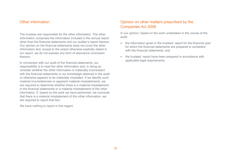## Other information

The trustees are responsible for the other information. The other information comprises the information included in the annual report other than the financial statements and our auditor's report thereon. Our opinion on the financial statements does not cover the other information and, except to the extent otherwise explicitly stated in our report, we do not express any form of assurance conclusion thereon.

In connection with our audit of the financial statements, our responsibility is to read the other information and, in doing so, consider whether the other information is materially inconsistent with the financial statements or our knowledge obtained in the audit or otherwise appears to be materially misstated. If we identify such material inconsistencies or apparent material misstatements, we are required to determine whether there is a material misstatement in the financial statements or a material misstatement of the other information. If, based on the work we have performed, we conclude that there is a material misstatement of this other information, we are required to report that fact.

We have nothing to report in this regard.

# Opinion on other matters prescribed by the Companies Act 2006

In our opinion, based on the work undertaken in the course of the audit:

- the information given in the trustees' report for the financial year for which the financial statements are prepared is consistent with the financial statements; and
- the trustees' report have been prepared in accordance with applicable legal requirements.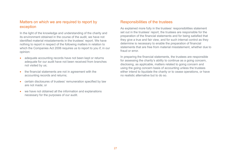# Matters on which we are required to report by exception

In the light of the knowledge and understanding of the charity and its environment obtained in the course of the audit, we have not identified material misstatements in the trustees' report. We have nothing to report in respect of the following matters in relation to which the Companies Act 2006 requires us to report to you if, in our opinion:

- adequate accounting records have not been kept or returns adequate for our audit have not been received from branches not visited by us;
- the financial statements are not in agreement with the accounting records and returns;
- certain disclosures of trustees' remuneration specified by law are not made; or
- we have not obtained all the information and explanations necessary for the purposes of our audit.

## Responsibilities of the trustees

As explained more fully in the trustees' responsibilities statement set out in the trustees' report, the trustees are responsible for the preparation of the financial statements and for being satisfied that they give a true and fair view, and for such internal control as they determine is necessary to enable the preparation of financial statements that are free from material misstatement, whether due to fraud or error.

In preparing the financial statements, the trustees are responsible for assessing the charity's ability to continue as a going concern, disclosing, as applicable, matters related to going concern and using the going concern basis of accounting unless the trustees either intend to liquidate the charity or to cease operations, or have no realistic alternative but to do so.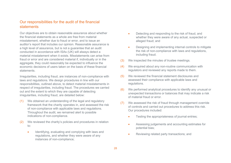## Our responsibilities for the audit of the financial statements

Our objectives are to obtain reasonable assurance about whether the financial statements as a whole are free from material misstatement, whether due to fraud or error, and to issue an auditor's report that includes our opinion. Reasonable assurance is a high level of assurance, but is not a guarantee that an audit conducted in accordance with ISAs (UK) will always detect a material misstatement when it exists. Misstatements can arise from fraud or error and are considered material if, individually or in the aggregate, they could reasonably be expected to influence the economic decisions of users taken on the basis of these financial statements.

Irregularities, including fraud, are instances of non-compliance with laws and regulations. We design procedures in line with our responsibilities, outlined above, to detect material misstatements in respect of irregularities, including fraud. The procedures we carried out and the extent to which they are capable of detecting irregularities, including fraud, are detailed below:

- (1) We obtained an understanding of the legal and regulatory framework that the charity operates in, and assessed the risk of non-compliance with applicable laws and regulations. Throughout the audit, we remained alert to possible indications of non-compliance.
- (2) We reviewed the charity's policies and procedures in relation to:
	- Identifying, evaluating and complying with laws and regulations, and whether they were aware of any instances of non-compliance;
- Detecting and responding to the risk of fraud, and whether they were aware of any actual, suspected or alleged fraud; and
- Designing and implementing internal controls to mitigate the risk of non-compliance with laws and regulations, including fraud.
- (3) We inspected the minutes of trustee meetings.
- (4) We enquired about any non-routine communication with regulators and reviewed any reports made to them.
- (5) We reviewed the financial statement disclosures and assessed their compliance with applicable laws and regulations.
- (6) We performed analytical procedures to identify any unusual or unexpected transactions or balances that may indicate a risk of material fraud or error.
- (7) We assessed the risk of fraud through management override of controls and carried out procedures to address this risk. Our procedures included:
	- Testing the appropriateness of journal entries;
	- Assessing judgements and accounting estimates for potential bias;
	- Reviewing related party transactions; and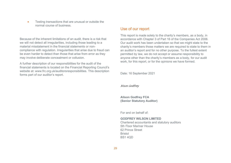• Testing transactions that are unusual or outside the normal course of business.

Because of the inherent limitations of an audit, there is a risk that we will not detect all irregularities, including those leading to a material misstatement in the financial statements or noncompliance with regulation. Irregularities that arise due to fraud can be even harder to detect than those that arise from error as they may involve deliberate concealment or collusion.

A further description of our responsibilities for the audit of the financial statements is located on the Financial Reporting Council's website at: www.frc.org.uk/auditorsresponsibilities. This description forms part of our auditor's report.

## Use of our report

This report is made solely to the charity's members, as a body, in accordance with Chapter 3 of Part 16 of the Companies Act 2006. Our audit work has been undertaken so that we might state to the charity's members those matters we are required to state to them in an auditor's report and for no other purpose. To the fullest extent permitted by law, we do not accept or assume responsibility to anyone other than the charity's members as a body, for our audit work, for this report, or for the opinions we have formed.

Date: 16 September 2021

[Alison Godfrey](https://eu1.documents.adobe.com/verifier?tx=CBJCHBCAABAAVYw4-nFc3kd7yhnZD4tWhrGjd0OGu6ja)

**Alison Godfrey FCA (Senior Statutory Auditor)**

For and on behalf of:

#### **GODFREY WILSON LIMITED**

Chartered accountants and statutory auditors 5th Floor Mariner House 62 Prince Street Bristol BS1 4QD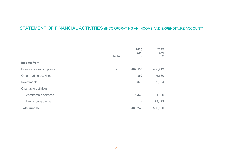# STATEMENT OF FINANCIAL ACTIVITIES (INCORPORATING AN INCOME AND EXPENDITURE ACCOUNT)

|                           | <b>Note</b>    | 2020<br><b>Total</b><br>£ | 2019<br>Total<br>£ |
|---------------------------|----------------|---------------------------|--------------------|
| Income from:              |                |                           |                    |
| Donations - subscriptions | $\overline{2}$ | 484,590                   | 466,243            |
| Other trading activities  |                | 1,350                     | 46,580             |
| Investments               |                | 876                       | 2,654              |
| Charitable activities:    |                |                           |                    |
| Membership services       |                | 1,430                     | 1,980              |
| Events programme          |                | $\equiv$                  | 73,173             |
| <b>Total income</b>       |                | 488,246                   | 590,630            |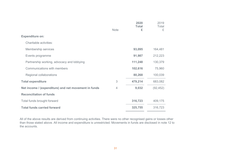|                                                      | <b>Note</b> | 2020<br><b>Total</b><br>£ | 2019<br>Total<br>£ |
|------------------------------------------------------|-------------|---------------------------|--------------------|
| <b>Expenditure on:</b>                               |             |                           |                    |
| Charitable activities:                               |             |                           |                    |
| Membership services                                  |             | 93,095                    | 164,481            |
| Events programme                                     |             | 91,987                    | 212,223            |
| Partnership working, advocacy and lobbying           |             | 111,248                   | 130,379            |
| Communications with members                          |             | 102,616                   | 75,960             |
| Regional collaborations                              |             | 80,268                    | 100,039            |
| <b>Total expenditure</b>                             | 3           | 479,214                   | 683,082            |
| Net income / (expenditure) and net movement in funds | 4           | 9,032                     | (92, 452)          |
| <b>Reconciliation of funds</b>                       |             |                           |                    |
| Total funds brought forward                          |             | 316,723                   | 409,175            |
| <b>Total funds carried forward</b>                   |             | 325,755                   | 316,723            |

All of the above results are derived from continuing activities. There were no other recognised gains or losses other than those stated above. All income and expenditure is unrestricted. Movements in funds are disclosed in note 12 to the accounts.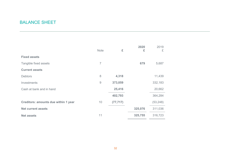# BALANCE SHEET

|                                             | <b>Note</b> | £         | 2020<br>£ | 2019<br>£ |
|---------------------------------------------|-------------|-----------|-----------|-----------|
| <b>Fixed assets</b>                         |             |           |           |           |
| Tangible fixed assets                       | 7           |           | 679       | 5,687     |
| <b>Current assets</b>                       |             |           |           |           |
| <b>Debtors</b>                              | 8           | 4,318     |           | 11,439    |
| Investments                                 | $\mathsf 9$ | 373,059   |           | 332,183   |
| Cash at bank and in hand                    |             | 25,416    |           | 20,662    |
|                                             |             | 402,793   |           | 364,284   |
| <b>Creditors: amounts due within 1 year</b> | 10          | (77, 717) |           | (53, 248) |
| <b>Net current assets</b>                   |             |           | 325,076   | 311,036   |
| <b>Net assets</b>                           | 11          |           | 325,755   | 316,723   |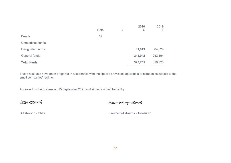|                     | <b>Note</b> | £ | 2020<br>£ | 2019<br>£ |
|---------------------|-------------|---|-----------|-----------|
| <b>Funds</b>        | 12          |   |           |           |
| Unrestricted funds: |             |   |           |           |
| Designated funds    |             |   | 81,813    | 84,529    |
| General funds       |             |   | 243,942   | 232,194   |
| <b>Total funds</b>  |             |   | 325,755   | 316,723   |

These accounts have been prepared in accordance with the special provisions applicable to companies subject to the small companies' regime.

Approved by the trustees on 15 September 2021 and signed on their behalf by

[Susan Ashworth](https://eu1.documents.adobe.com/verifier?tx=CBJCHBCAABAAVYw4-nFc3kd7yhnZD4tWhrGjd0OGu6ja) [James Anthony-Edwards](https://eu1.documents.adobe.com/verifier?tx=CBJCHBCAABAAVYw4-nFc3kd7yhnZD4tWhrGjd0OGu6ja)

S Ashworth - Chair **S** Ashworth - Chair **J** Anthony-Edwards - Treasurer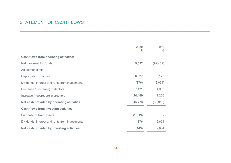# STATEMENT OF CASH FLOWS

|                                                | 2020<br>£ | 2019<br>£ |
|------------------------------------------------|-----------|-----------|
| <b>Cash flows from operating activities:</b>   |           |           |
| Net movement in funds                          | 9,032     | (92, 452) |
| Adjustments for:                               |           |           |
| Depreciation charges                           | 6,027     | 8,120     |
| Dividends, interest and rents from investments | (876)     | (2,654)   |
| Decrease / (increase) in debtors               | 7,121     | 1,965     |
| Increase / (decrease) in creditors             | 24,469    | 1,206     |
| Net cash provided by operating activities      | 45,773    | (83, 815) |
| <b>Cash flows from investing activities:</b>   |           |           |
| Purchase of fixed assets                       | (1,019)   |           |
| Dividends, interest and rents from investments | 876       | 2,654     |
| Net cash provided by investing activities      | (143)     | 2,654     |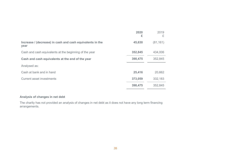|                                                                   | 2020<br>£ | 2019<br>£ |
|-------------------------------------------------------------------|-----------|-----------|
| Increase / (decrease) in cash and cash equivalents in the<br>year | 45,630    | (81, 161) |
| Cash and cash equivalents at the beginning of the year            | 352,845   | 434,006   |
| Cash and cash equivalents at the end of the year                  | 398,475   | 352,845   |
| Analysed as:                                                      |           |           |
| Cash at bank and in hand                                          | 25,416    | 20,662    |
| <b>Current asset investments</b>                                  | 373,059   | 332,183   |
|                                                                   | 398,475   | 352,845   |

#### **Analysis of changes in net debt**

The charity has not provided an analysis of changes in net debt as it does not have any long term financing arrangements.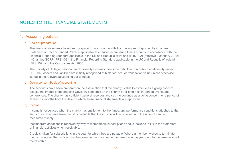# NOTES TO THE FINANCIAL STATEMENTS

## 1. Accounting policies

#### a) Basis of preparation

The financial statements have been prepared in accordance with Accounting and Reporting by Charities: Statement of Recommended Practice applicable to charities in preparing their accounts in accordance with the Financial Reporting Standard applicable in the UK and Republic of Ireland (FRS 102) (effective 1 January 2019) - (Charities SORP (FRS 102)), the Financial Reporting Standard applicable in the UK and Republic of Ireland (FRS 102) and the Companies Act 2006.

 $\mathcal{L}_\mathcal{L} = \{ \mathcal{L}_\mathcal{L} = \{ \mathcal{L}_\mathcal{L} = \{ \mathcal{L}_\mathcal{L} = \{ \mathcal{L}_\mathcal{L} = \{ \mathcal{L}_\mathcal{L} = \{ \mathcal{L}_\mathcal{L} = \{ \mathcal{L}_\mathcal{L} = \{ \mathcal{L}_\mathcal{L} = \{ \mathcal{L}_\mathcal{L} = \{ \mathcal{L}_\mathcal{L} = \{ \mathcal{L}_\mathcal{L} = \{ \mathcal{L}_\mathcal{L} = \{ \mathcal{L}_\mathcal{L} = \{ \mathcal{L}_\mathcal{$ 

The Society of College, National and University Libraries meets the definition of a public benefit entity under FRS 102. Assets and liabilities are initially recognised at historical cost or transaction value unless otherwise stated in the relevant accounting policy notes.

#### b) Going concern basis of accounting

The accounts have been prepared on the assumption that the charity is able to continue as a going concern, despite the impact of the ongoing Covid-19 pandemic on the charity's ability to hold in-person events and conferences. The charity has sufficient general reserves and cash to continue as a going concern for a period of at least 12 months from the date on which these financial statements are approved.

#### c) Income

Income is recognised when the charity has entitlement to the funds, any performance conditions attached to the items of income have been met, it is probable that the income will be received and the amount can be measured reliably.

Income from donations is received by way of membership subscriptions and is included in full in the statement of financial activities when receivable.

Credit is taken for subscriptions in the year for which they are payable. Where a member wishes to terminate their subscription then notice must be given before the summer conference in the year prior to the termination of membership.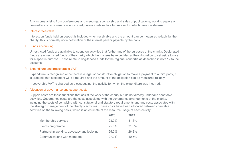Any income arising from conferences and meetings, sponsorship and sales of publications, working papers or newsletters is recognised once invoiced, unless it relates to a future event in which case it is deferred.

#### d) Interest receivable

Interest on funds held on deposit is included when receivable and the amount can be measured reliably by the charity: this is normally upon notification of the interest paid or payable by the bank.

#### e) Funds accounting

Unrestricted funds are available to spend on activities that further any of the purposes of the charity. Designated funds are unrestricted funds of the charity which the trustees have decided at their discretion to set aside to use for a specific purpose. These relate to ring-fenced funds for the regional consortia as described in note 12 to the accounts.

#### f) Expenditure and irrecoverable VAT

Expenditure is recognised once there is a legal or constructive obligation to make a payment to a third party, it is probable that settlement will be required and the amount of the obligation can be measured reliably.

Irrecoverable VAT is charged as a cost against the activity for which the expenditure was incurred.

#### g) Allocation of governance and support costs

Support costs are those functions that assist the work of the charity but do not directly undertake charitable activities. Governance costs are the costs associated with the governance arrangements of the charity, including the costs of complying with constitutional and statutory requirements and any costs associated with the strategic management of the charity's activities. These costs have been allocated between charitable activities on the following basis, which is an estimate of the resource usage of each activity:

|                                            | 2020  | 2019     |
|--------------------------------------------|-------|----------|
| Membership services                        | 23.0% | 31.6%    |
| Events programme                           | 25.0% | 31.6%    |
| Partnership working, advocacy and lobbying | 25.0% | 26.3%    |
| Communications with members                | 27.0% | $10.5\%$ |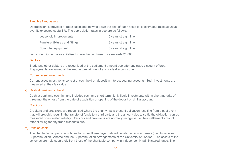#### h) Tangible fixed assets

Depreciation is provided at rates calculated to write down the cost of each asset to its estimated residual value over its expected useful life. The depreciation rates in use are as follows:

| Leasehold improvements           | 5 years straight line |
|----------------------------------|-----------------------|
| Furniture, fixtures and fittings | 3 years straight line |
| Computer equipment               | 3 years straight line |

Items of equipment are capitalised where the purchase price exceeds £1,000.

#### i) Debtors

Trade and other debtors are recognised at the settlement amount due after any trade discount offered. Prepayments are valued at the amount prepaid net of any trade discounts due.

#### j) Current asset investments

Current asset investments consist of cash held on deposit in interest bearing accounts. Such investments are measured at their fair value.

#### k) Cash at bank and in hand

Cash at bank and cash in hand includes cash and short term highly liquid investments with a short maturity of three months or less from the date of acquisition or opening of the deposit or similar account.

#### l) Creditors

Creditors and provisions are recognised where the charity has a present obligation resulting from a past event that will probably result in the transfer of funds to a third party and the amount due to settle the obligation can be measured or estimated reliably. Creditors and provisions are normally recognised at their settlement amount after allowing for any trade discounts due.

#### m) Pension costs

The charitable company contributes to two multi-employer defined benefit pension schemes (the Universities Superannuation Scheme and the Superannuation Arrangements of the University of London). The assets of the schemes are held separately from those of the charitable company in independently administered funds. The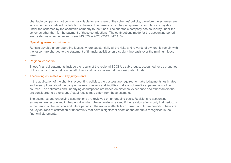charitable company is not contractually liable for any share of the schemes' deficits, therefore the schemes are accounted for as defined contribution schemes. The pension cost charge represents contributions payable under the schemes by the charitable company to the funds. The charitable company has no liability under the schemes other than for the payment of those contributions. The contributions made for the accounting period are treated as an expense and were £43,070 in 2020 (2019: £47,416).

#### n) Operating lease commitments

Rentals payable under operating leases, where substantially all the risks and rewards of ownership remain with the lessor, are charged to the statement of financial activities on a straight line basis over the minimum lease term.

#### o) Regional consortia

These financial statements include the results of the regional SCONUL sub-groups, accounted for as branches of the charity. Funds held on behalf of regional consortia are held as designated funds.

#### p) Accounting estimates and key judgements

In the application of the charity's accounting policies, the trustees are required to make judgements, estimates and assumptions about the carrying values of assets and liabilities that are not readily apparent from other sources. The estimates and underlying assumptions are based on historical experience and other factors that are considered to be relevant. Actual results may differ from these estimates.

The estimates and underlying assumptions are reviewed on an ongoing basis. Revisions to accounting estimates are recognised in the period in which the estimate is revised if the revision affects only that period, or in the period of the revision and future periods if the revision affects both current and future periods. There are no key sources of estimation or uncertainty that have a significant effect on the amounts recognised in the financial statements.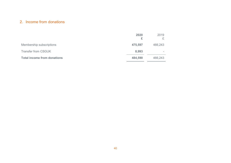# 2. Income from donations

|                                    | 2020<br>£ | 2019    |
|------------------------------------|-----------|---------|
| Membership subscriptions           | 475,597   | 466,243 |
| <b>Transfer from CSGUK</b>         | 8,993     |         |
| <b>Total income from donations</b> | 484,590   | 466,243 |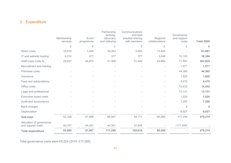# 3. Expenditure

|                                               | Membership | Event     | Partnership<br>working,<br>advocacy | Communications<br>and best<br>practice sharing | Regional                 | Governance<br>and support |                   |
|-----------------------------------------------|------------|-----------|-------------------------------------|------------------------------------------------|--------------------------|---------------------------|-------------------|
|                                               | services   | programme | and lobbying                        | with members                                   | collaborations           | costs                     | <b>Total 2020</b> |
|                                               | £          | £         | £                                   | £                                              | £                        | £                         | £                 |
| <b>Direct costs</b>                           | 18,819     | 1,434     | 25,264                              | 2,954                                          | 13,420                   |                           | 61,891            |
| IT and website hosting                        | 4,012      | 377       | 377                                 | 377                                            | 3,048                    | 10,153                    | 18,344            |
| Staff costs (note 5)                          | 29,507     | 45,875    | 41,306                              | 51,440                                         | 63,800                   | 71,997                    | 303,925           |
| Recruitment and training                      |            | $\sim$    |                                     | $\overline{\phantom{a}}$                       | $\overline{\phantom{a}}$ | 1,571                     | 1,571             |
| Premises costs                                |            |           |                                     |                                                |                          | 44,365                    | 44,365            |
| Insurance                                     |            |           |                                     |                                                |                          | 1,825                     | 1,825             |
| Fees and subscriptions                        |            |           |                                     |                                                |                          | 4,475                     | 4,475             |
| Office costs                                  |            |           |                                     |                                                |                          | 15,432                    | 15,432            |
| Legal and professional                        |            |           |                                     | $\overline{\phantom{a}}$                       | i.                       | 13,131                    | 13,131            |
| <b>Executive board costs</b>                  |            |           |                                     |                                                |                          | 1,024                     | 1,024             |
| Audit and accountancy                         |            |           |                                     |                                                |                          | 7,200                     | 7,200             |
| <b>Bank charges</b>                           |            |           |                                     |                                                |                          | 4                         | 4                 |
| Depreciation                                  |            |           |                                     |                                                |                          | 6,027                     | 6,027             |
| Sub-total                                     | 52,338     | 47,686    | 66,947                              | 54,771                                         | 80,268                   | 177,204                   | 479,214           |
| Allocation of governance<br>and support costs | 40,757     | 44,301    | 44,301                              | 47,845                                         |                          | (177, 204)                |                   |
| <b>Total expenditure</b>                      | 93,095     | 91,987    | 111,248                             | 102,616                                        | 80,268                   |                           | 479,214           |

Total governance costs were £8,224 (2019: £17,266).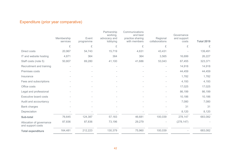# Expenditure (prior year comparative)

|                                               | Membership | Event     | Partnership<br>working,<br>advocacy and | Communications<br>and best<br>practice sharing | Regional       | Governance<br>and support |                   |
|-----------------------------------------------|------------|-----------|-----------------------------------------|------------------------------------------------|----------------|---------------------------|-------------------|
|                                               | services   | programme | lobbying                                | with members                                   | collaborations | costs                     | <b>Total 2019</b> |
|                                               | £          | £         | £                                       | £                                              | £              | £                         | £                 |
| Direct costs                                  | 20,967     | 54,743    | 15,719                                  | 4,631                                          | 43,431         |                           | 139,491           |
| IT and website hosting                        | 4,871      | 364       | 364                                     | 364                                            | 3,565          | 16,699                    | 26,227            |
| Staff costs (note 5)                          | 50,807     | 69,280    | 41,100                                  | 41,686                                         | 53,043         | 67,455                    | 323,371           |
| Recruitment and training                      |            |           |                                         |                                                |                | 14,918                    | 14,918            |
| Premises costs                                |            |           |                                         |                                                |                | 44,459                    | 44,459            |
| Insurance                                     |            |           |                                         |                                                |                | 1,782                     | 1,782             |
| Fees and subscriptions                        |            |           |                                         |                                                |                | 4,193                     | 4,193             |
| Office costs                                  |            |           |                                         |                                                |                | 17,025                    | 17,025            |
| Legal and professional                        |            |           |                                         |                                                |                | 86,199                    | 86,199            |
| <b>Executive board costs</b>                  |            |           |                                         |                                                |                | 10,186                    | 10,186            |
| Audit and accountancy                         |            |           |                                         |                                                |                | 7,080                     | 7,080             |
| <b>Bank charges</b>                           |            |           |                                         |                                                |                | 31                        | 31                |
| Depreciation                                  |            |           |                                         |                                                |                | 8,120                     | 8,120             |
| Sub-total                                     | 76,645     | 124,387   | 57,183                                  | 46,681                                         | 100,039        | 278,147                   | 683,082           |
| Allocation of governance<br>and support costs | 87,836     | 87,836    | 73,196                                  | 29,279                                         |                | (278, 147)                |                   |
| <b>Total expenditure</b>                      | 164,481    | 212,223   | 130,379                                 | 75,960                                         | 100,039        |                           | 683,082           |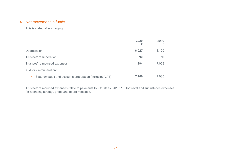# 4. Net movement in funds

This is stated after charging:

|                                                          | 2020<br>£  | 2019<br>£  |
|----------------------------------------------------------|------------|------------|
| Depreciation                                             | 6,027      | 8,120      |
| Trustees' remuneration                                   | <b>Nil</b> | <b>Nil</b> |
| Trustees' reimbursed expenses                            | 294        | 7,028      |
| Auditors' remuneration:                                  |            |            |
| Statutory audit and accounts preparation (including VAT) | 7,200      | 7,080      |

Trustees' reimbursed expenses relate to payments to 2 trustees (2019: 10) for travel and subsistence expenses for attending strategy group and board meetings.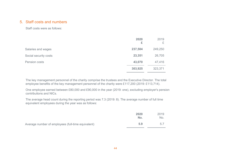## 5. Staff costs and numbers

Staff costs were as follows:

|                       | 2020<br>£ | 2019<br>£ |
|-----------------------|-----------|-----------|
| Salaries and wages    | 237,504   | 249,250   |
| Social security costs | 23,351    | 26,705    |
| Pension costs         | 43,070    | 47,416    |
|                       | 303,925   | 323,371   |

The key management personnel of the charity comprise the trustees and the Executive Director. The total employee benefits of the key management personnel of the charity were £117,200 (2019: £113,714).

One employee earned between £80,000 and £90,000 in the year (2019: one), excluding employer's pension contributions and NICs.

The average head count during the reporting period was 7.3 (2019: 8). The average number of full time equivalent employees during the year was as follows:

|                                                    | 2020<br>No. | 2019<br>No. |
|----------------------------------------------------|-------------|-------------|
| Average number of employees (full-time equivalent) | 5.9         | 5.7         |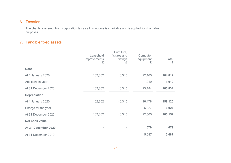# 6. Taxation

The charity is exempt from corporation tax as all its income is charitable and is applied for charitable purposes.

# 7. Tangible fixed assets

|                       | Leasehold<br>improvements<br>£ | Furniture,<br>fixtures and<br>fittings<br>£ | Computer<br>equipment<br>£ | <b>Total</b><br>£ |
|-----------------------|--------------------------------|---------------------------------------------|----------------------------|-------------------|
| <b>Cost</b>           |                                |                                             |                            |                   |
| At 1 January 2020     | 102,302                        | 40,345                                      | 22,165                     | 164,812           |
| Additions in year     | ٠                              |                                             | 1,019                      | 1,019             |
| At 31 December 2020   | 102,302                        | 40,345                                      | 23,184                     | 165,831           |
| <b>Depreciation</b>   |                                |                                             |                            |                   |
| At 1 January 2020     | 102,302                        | 40,345                                      | 16,478                     | 159,125           |
| Charge for the year   |                                |                                             | 6,027                      | 6,027             |
| At 31 December 2020   | 102,302                        | 40,345                                      | 22,505                     | 165,152           |
| <b>Net book value</b> |                                |                                             |                            |                   |
| At 31 December 2020   | $\sim$                         |                                             | 679                        | 679               |
| At 31 December 2019   |                                |                                             | 5,687                      | 5,687             |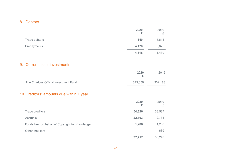# 8. Debtors

|                                          |                                                 | 2020<br>£      | 2019<br>£ |
|------------------------------------------|-------------------------------------------------|----------------|-----------|
| <b>Trade debtors</b>                     |                                                 | 140            | 5,614     |
| Prepayments                              |                                                 | 4,178          | 5,825     |
|                                          |                                                 | 4,318          | 11,439    |
| 9. Current asset investments             |                                                 |                |           |
|                                          |                                                 | 2020<br>£      | 2019<br>£ |
| The Charities Official Investment Fund   |                                                 | 373,059        | 332,183   |
| 10. Creditors: amounts due within 1 year |                                                 |                |           |
|                                          |                                                 | 2020<br>£      | 2019<br>£ |
| <b>Trade creditors</b>                   |                                                 | 54,326         | 38,587    |
| <b>Accruals</b>                          |                                                 | 22,103         | 12,734    |
|                                          | Funds held on behalf of Copyright for Knowledge | 1,288          | 1,288     |
| Other creditors                          |                                                 | $\blacksquare$ | 639       |
|                                          |                                                 | 77,717         | 53,248    |
|                                          |                                                 |                |           |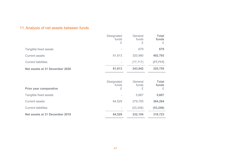# 11.Analysis of net assets between funds

|                                | Designated<br>funds<br>£ | General<br>funds<br>£ | <b>Total</b><br>funds<br>£ |
|--------------------------------|--------------------------|-----------------------|----------------------------|
| Tangible fixed assets          |                          | 679                   | 679                        |
| <b>Current assets</b>          | 81,813                   | 320,980               | 402,793                    |
| <b>Current liabilities</b>     |                          | (77, 717)             | (77, 717)                  |
| Net assets at 31 December 2020 | 81,813                   | 243,942               | 325,755                    |
|                                |                          |                       |                            |
|                                | Designated<br>funds      | General<br>funds      | <b>Total</b><br>funds      |
| Prior year comparative         | £                        | £                     | £                          |
| Tangible fixed assets          |                          | 5,687                 | 5,687                      |
| <b>Current assets</b>          | 84,529                   | 279,755               | 364,284                    |
| <b>Current liabilities</b>     |                          | (53, 248)             | (53, 248)                  |
| Net assets at 31 December 2019 | 84,529                   | 232,194               | 316,723                    |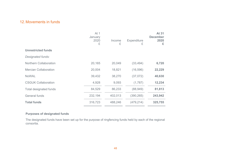# 12.Movements in funds

|                               | At 1<br>January<br>2020<br>£ | Income<br>£ | <b>Expenditure</b><br>£ | At 31<br><b>December</b><br>2020<br>£ |
|-------------------------------|------------------------------|-------------|-------------------------|---------------------------------------|
| <b>Unrestricted funds</b>     |                              |             |                         |                                       |
| Designated funds:             |                              |             |                         |                                       |
| Northern Collaboration        | 20,165                       | 20,049      | (33, 494)               | 6,720                                 |
| <b>Mercian Collaboration</b>  | 20,004                       | 18,821      | (16, 596)               | 22,229                                |
| <b>NoWAL</b>                  | 39,432                       | 38,270      | (37,072)                | 40,630                                |
| <b>CSGUK Collaboration</b>    | 4,928                        | 9,093       | (1,787)                 | 12,234                                |
| <b>Total designated funds</b> | 84,529                       | 86,233      | (88,949)                | 81,813                                |
| <b>General funds</b>          | 232,194                      | 402,013     | (390, 265)              | 243,942                               |
| <b>Total funds</b>            | 316,723                      | 488,246     | (479, 214)              | 325,755                               |

#### **Purposes of designated funds**

The designated funds have been set up for the purpose of ringfencing funds held by each of the regional consortia.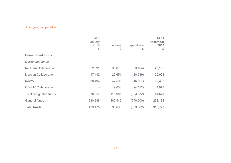# Prior year comparative

|                               | At 1<br>January<br>2019<br>£ | Income<br>£ | <b>Expenditure</b><br>£ | <b>At 31</b><br><b>December</b><br>2019<br>£ |
|-------------------------------|------------------------------|-------------|-------------------------|----------------------------------------------|
| <b>Unrestricted funds</b>     |                              |             |                         |                                              |
| Designated funds:             |                              |             |                         |                                              |
| <b>Northern Collaboration</b> | 22,391                       | 30,878      | (33, 104)               | 20,165                                       |
| <b>Mercian Collaboration</b>  | 17,442                       | 22,651      | (20, 089)               | 20,004                                       |
| <b>NoWAL</b>                  | 38,494                       | 47,505      | (46, 567)               | 39,432                                       |
| <b>CSGUK Collaboration</b>    |                              | 9,050       | (4, 122)                | 4,928                                        |
| <b>Total designated funds</b> | 78,327                       | 110,084     | (103, 882)              | 84,529                                       |
| <b>General funds</b>          | 330,848                      | 480,546     | (579, 200)              | 232,194                                      |
| <b>Total funds</b>            | 409,175                      | 590,630     | (683,082)               | 316,723                                      |
|                               |                              |             |                         |                                              |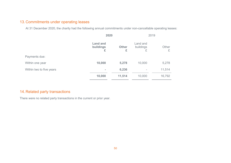# 13.Commitments under operating leases

At 31 December 2020, the charity had the following annual commitments under non-cancellable operating leases:

|                          | 2020                              |                   | 2019                       |            |
|--------------------------|-----------------------------------|-------------------|----------------------------|------------|
|                          | <b>Land and</b><br>buildings<br>£ | <b>Other</b><br>£ | Land and<br>buildings<br>£ | Other<br>£ |
| Payments due:            |                                   |                   |                            |            |
| Within one year          | 10,000                            | 5,278             | 10,000                     | 5,278      |
| Within two to five years | $\equiv$                          | 6,236             | ۰                          | 11,514     |
|                          | 10,000                            | 11,514            | 10,000                     | 16,792     |

# 14.Related party transactions

There were no related party transactions in the current or prior year.